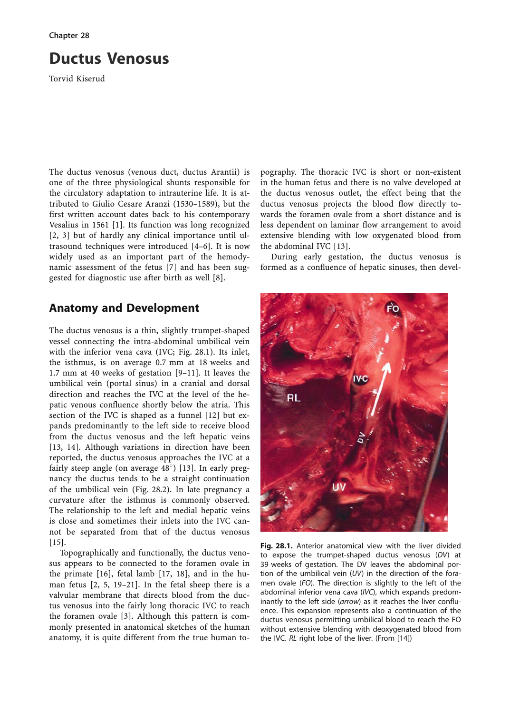# **Ductus Venosus**

Torvid Kiserud

The ductus venosus (venous duct, ductus Arantii) is one of the three physiological shunts responsible for the circulatory adaptation to intrauterine life. It is attributed to Giulio Cesare Aranzi (1530-1589), but the first written account dates back to his contemporary Vesalius in 1561 [1]. Its function was long recognized [2, 3] but of hardly any clinical importance until ultrasound techniques were introduced [4-6]. It is now widely used as an important part of the hemodynamic assessment of the fetus [7] and has been suggested for diagnostic use after birth as well [8].

### **Anatomy and Development**

The ductus venosus is a thin, slightly trumpet-shaped vessel connecting the intra-abdominal umbilical vein with the inferior vena cava (IVC; Fig. 28.1). Its inlet, the isthmus, is on average 0.7 mm at 18 weeks and 1.7 mm at 40 weeks of gestation [9-11]. It leaves the umbilical vein (portal sinus) in a cranial and dorsal direction and reaches the IVC at the level of the hepatic venous confluence shortly below the atria. This section of the IVC is shaped as a funnel [12] but expands predominantly to the left side to receive blood from the ductus venosus and the left hepatic veins [13, 14]. Although variations in direction have been reported, the ductus venosus approaches the IVC at a fairly steep angle (on average  $48^{\circ}$ ) [13]. In early pregnancy the ductus tends to be a straight continuation of the umbilical vein (Fig. 28.2). In late pregnancy a curvature after the isthmus is commonly observed. The relationship to the left and medial hepatic veins is close and sometimes their inlets into the IVC cannot be separated from that of the ductus venosus  $[15]$ .

Topographically and functionally, the ductus venosus appears to be connected to the foramen ovale in the primate [16], fetal lamb [17, 18], and in the human fetus [2, 5, 19-21]. In the fetal sheep there is a valvular membrane that directs blood from the ductus venosus into the fairly long thoracic IVC to reach the foramen ovale [3]. Although this pattern is commonly presented in anatomical sketches of the human anatomy, it is quite different from the true human to-

pography. The thoracic IVC is short or non-existent in the human fetus and there is no valve developed at the ductus venosus outlet, the effect being that the ductus venosus projects the blood flow directly towards the foramen ovale from a short distance and is less dependent on laminar flow arrangement to avoid extensive blending with low oxygenated blood from the abdominal IVC [13].

During early gestation, the ductus venosus is formed as a confluence of hepatic sinuses, then devel-



Fig. 28.1. Anterior anatomical view with the liver divided to expose the trumpet-shaped ductus venosus (DV) at 39 weeks of gestation. The DV leaves the abdominal portion of the umbilical vein (UV) in the direction of the foramen ovale (FO). The direction is slightly to the left of the abdominal inferior vena cava (IVC), which expands predominantly to the left side (arrow) as it reaches the liver confluence. This expansion represents also a continuation of the ductus venosus permitting umbilical blood to reach the FO without extensive blending with deoxygenated blood from the IVC. RL right lobe of the liver. (From [14])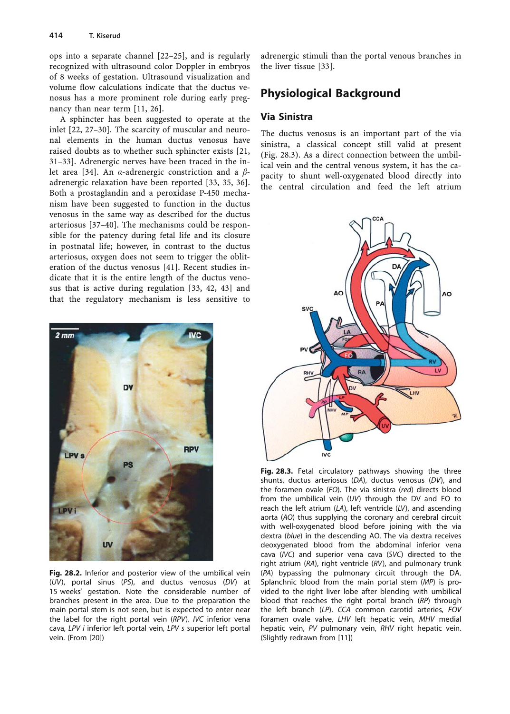ops into a separate channel [22-25], and is regularly recognized with ultrasound color Doppler in embryos of 8 weeks of gestation. Ultrasound visualization and volume flow calculations indicate that the ductus venosus has a more prominent role during early pregnancy than near term [11, 26].

A sphincter has been suggested to operate at the inlet [22, 27-30]. The scarcity of muscular and neuronal elements in the human ductus venosus have raised doubts as to whether such sphincter exists [21, 31-33]. Adrenergic nerves have been traced in the inlet area [34]. An *a*-adrenergic constriction and a  $\beta$ adrenergic relaxation have been reported [33, 35, 36]. Both a prostaglandin and a peroxidase P-450 mechanism have been suggested to function in the ductus venosus in the same way as described for the ductus arteriosus [37-40]. The mechanisms could be responsible for the patency during fetal life and its closure in postnatal life; however, in contrast to the ductus arteriosus, oxygen does not seem to trigger the obliteration of the ductus venosus [41]. Recent studies indicate that it is the entire length of the ductus venosus that is active during regulation [33, 42, 43] and that the regulatory mechanism is less sensitive to



Fig. 28.2. Inferior and posterior view of the umbilical vein (UV), portal sinus (PS), and ductus venosus (DV) at 15 weeks' gestation. Note the considerable number of branches present in the area. Due to the preparation the main portal stem is not seen, but is expected to enter near the label for the right portal vein (RPV). IVC inferior vena cava, LPV i inferior left portal vein, LPV s superior left portal vein. (From [20])

adrenergic stimuli than the portal venous branches in the liver tissue [33].

## **Physiological Background**

### **Via Sinistra**

The ductus venosus is an important part of the via sinistra, a classical concept still valid at present (Fig. 28.3). As a direct connection between the umbilical vein and the central venous system, it has the capacity to shunt well-oxygenated blood directly into the central circulation and feed the left atrium



Fig. 28.3. Fetal circulatory pathways showing the three shunts, ductus arteriosus (DA), ductus venosus (DV), and the foramen ovale (FO). The via sinistra (red) directs blood from the umbilical vein (UV) through the DV and FO to reach the left atrium (LA), left ventricle (LV), and ascending aorta (AO) thus supplying the coronary and cerebral circuit with well-oxygenated blood before joining with the via dextra (blue) in the descending AO. The via dextra receives deoxygenated blood from the abdominal inferior vena cava (IVC) and superior vena cava (SVC) directed to the right atrium (RA), right ventricle (RV), and pulmonary trunk (PA) bypassing the pulmonary circuit through the DA. Splanchnic blood from the main portal stem (MP) is provided to the right liver lobe after blending with umbilical blood that reaches the right portal branch (RP) through the left branch (LP). CCA common carotid arteries, FOV foramen ovale valve, LHV left hepatic vein, MHV medial hepatic vein, PV pulmonary vein, RHV right hepatic vein. (Slightly redrawn from [11])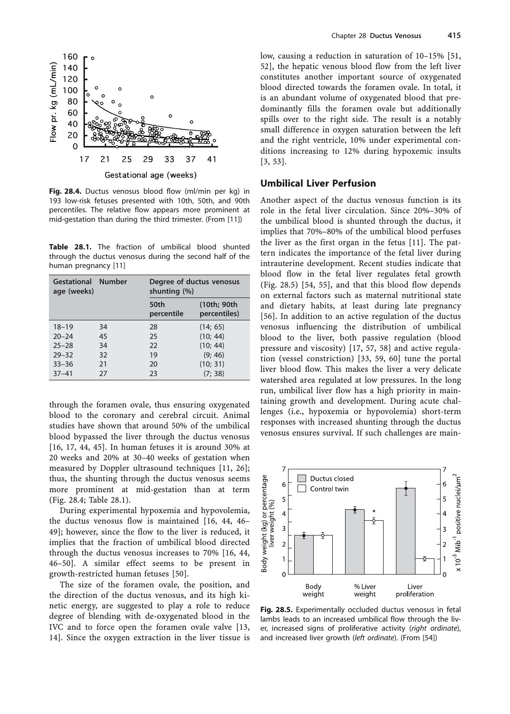

Fig. 28.4. Ductus venosus blood flow (ml/min per kg) in 193 low-risk fetuses presented with 10th, 50th, and 90th percentiles. The relative flow appears more prominent at mid-gestation than during the third trimester. (From [11])

Table 28.1. The fraction of umbilical blood shunted through the ductus venosus during the second half of the human pregnancy [11]

| <b>Gestational Number</b><br>age (weeks) |    | Degree of ductus venosus<br>shunting $(\%)$ |                             |
|------------------------------------------|----|---------------------------------------------|-----------------------------|
|                                          |    | 50th<br>percentile                          | (10th; 90th<br>percentiles) |
| $18 - 19$                                | 34 | 28                                          | (14; 65)                    |
| $20 - 24$                                | 45 | 25                                          | (10; 44)                    |
| $25 - 28$                                | 34 | 22                                          | (10; 44)                    |
| $29 - 32$                                | 32 | 19                                          | (9; 46)                     |
| $33 - 36$                                | 21 | 20                                          | (10; 31)                    |
| $37 - 41$                                | 27 | 23                                          | (7; 38)                     |

through the foramen ovale, thus ensuring oxygenated blood to the coronary and cerebral circuit. Animal studies have shown that around 50% of the umbilical blood bypassed the liver through the ductus venosus  $[16, 17, 44, 45]$ . In human fetuses it is around 30% at 20 weeks and 20% at 30-40 weeks of gestation when measured by Doppler ultrasound techniques [11, 26]; thus, the shunting through the ductus venosus seems more prominent at mid-gestation than at term (Fig. 28.4; Table 28.1).

During experimental hypoxemia and hypovolemia, the ductus venosus flow is maintained [16, 44, 46-49]; however, since the flow to the liver is reduced, it implies that the fraction of umbilical blood directed through the ductus venosus increases to 70% [16, 44, 46-50]. A similar effect seems to be present in growth-restricted human fetuses [50].

The size of the foramen ovale, the position, and the direction of the ductus venosus, and its high kinetic energy, are suggested to play a role to reduce degree of blending with de-oxygenated blood in the IVC and to force open the foramen ovale valve [13, 14]. Since the oxygen extraction in the liver tissue is

low, causing a reduction in saturation of  $10-15\%$  [51, 52], the hepatic venous blood flow from the left liver constitutes another important source of oxygenated blood directed towards the foramen ovale. In total, it is an abundant volume of oxygenated blood that predominantly fills the foramen ovale but additionally spills over to the right side. The result is a notably small difference in oxygen saturation between the left and the right ventricle, 10% under experimental conditions increasing to 12% during hypoxemic insults  $[3, 53]$ .

#### **Umbilical Liver Perfusion**

Another aspect of the ductus venosus function is its role in the fetal liver circulation. Since 20%-30% of the umbilical blood is shunted through the ductus, it implies that 70%-80% of the umbilical blood perfuses the liver as the first organ in the fetus [11]. The pattern indicates the importance of the fetal liver during intrauterine development. Recent studies indicate that blood flow in the fetal liver regulates fetal growth (Fig. 28.5) [54, 55], and that this blood flow depends on external factors such as maternal nutritional state and dietary habits, at least during late pregnancy [56]. In addition to an active regulation of the ductus venosus influencing the distribution of umbilical blood to the liver, both passive regulation (blood pressure and viscosity) [17, 57, 58] and active regulation (vessel constriction) [33, 59, 60] tune the portal liver blood flow. This makes the liver a very delicate watershed area regulated at low pressures. In the long run, umbilical liver flow has a high priority in maintaining growth and development. During acute challenges (i.e., hypoxemia or hypovolemia) short-term responses with increased shunting through the ductus venosus ensures survival. If such challenges are main-



Fig. 28.5. Experimentally occluded ductus venosus in fetal lambs leads to an increased umbilical flow through the liver, increased signs of proliferative activity (right ordinate), and increased liver growth (left ordinate). (From [54])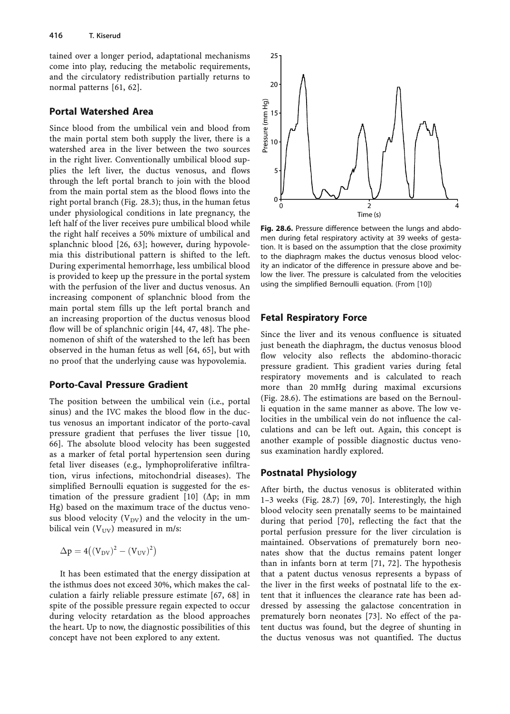tained over a longer period, adaptational mechanisms come into play, reducing the metabolic requirements, and the circulatory redistribution partially returns to normal patterns [61, 62].

#### **Portal Watershed Area**

Since blood from the umbilical vein and blood from the main portal stem both supply the liver, there is a watershed area in the liver between the two sources in the right liver. Conventionally umbilical blood supplies the left liver, the ductus venosus, and flows through the left portal branch to join with the blood from the main portal stem as the blood flows into the right portal branch (Fig. 28.3); thus, in the human fetus under physiological conditions in late pregnancy, the left half of the liver receives pure umbilical blood while the right half receives a 50% mixture of umbilical and splanchnic blood [26, 63]; however, during hypovolemia this distributional pattern is shifted to the left. During experimental hemorrhage, less umbilical blood is provided to keep up the pressure in the portal system with the perfusion of the liver and ductus venosus. An increasing component of splanchnic blood from the main portal stem fills up the left portal branch and an increasing proportion of the ductus venosus blood flow will be of splanchnic origin [44, 47, 48]. The phenomenon of shift of the watershed to the left has been observed in the human fetus as well [64, 65], but with no proof that the underlying cause was hypovolemia.

### **Porto-Caval Pressure Gradient**

The position between the umbilical vein (i.e., portal sinus) and the IVC makes the blood flow in the ductus venosus an important indicator of the porto-caval pressure gradient that perfuses the liver tissue [10, 66]. The absolute blood velocity has been suggested as a marker of fetal portal hypertension seen during fetal liver diseases (e.g., lymphoproliferative infiltration, virus infections, mitochondrial diseases). The simplified Bernoulli equation is suggested for the estimation of the pressure gradient [10] ( $\Delta p$ ; in mm Hg) based on the maximum trace of the ductus venosus blood velocity ( $V_{\text{DV}}$ ) and the velocity in the umbilical vein  $(V_{UV})$  measured in m/s:

$$
\Delta p = 4((V_{DV})^2 - (V_{UV})^2)
$$

It has been estimated that the energy dissipation at the isthmus does not exceed 30%, which makes the calculation a fairly reliable pressure estimate [67, 68] in spite of the possible pressure regain expected to occur during velocity retardation as the blood approaches the heart. Up to now, the diagnostic possibilities of this concept have not been explored to any extent.



Fig. 28.6. Pressure difference between the lungs and abdomen during fetal respiratory activity at 39 weeks of gestation. It is based on the assumption that the close proximity to the diaphragm makes the ductus venosus blood velocity an indicator of the difference in pressure above and below the liver. The pressure is calculated from the velocities using the simplified Bernoulli equation. (From [10])

#### **Fetal Respiratory Force**

Since the liver and its venous confluence is situated just beneath the diaphragm, the ductus venosus blood flow velocity also reflects the abdomino-thoracic pressure gradient. This gradient varies during fetal respiratory movements and is calculated to reach more than 20 mmHg during maximal excursions (Fig. 28.6). The estimations are based on the Bernoulli equation in the same manner as above. The low velocities in the umbilical vein do not influence the calculations and can be left out. Again, this concept is another example of possible diagnostic ductus venosus examination hardly explored.

#### **Postnatal Physiology**

After birth, the ductus venosus is obliterated within  $1-3$  weeks (Fig. 28.7) [69, 70]. Interestingly, the high blood velocity seen prenatally seems to be maintained during that period [70], reflecting the fact that the portal perfusion pressure for the liver circulation is maintained. Observations of prematurely born neonates show that the ductus remains patent longer than in infants born at term [71, 72]. The hypothesis that a patent ductus venosus represents a bypass of the liver in the first weeks of postnatal life to the extent that it influences the clearance rate has been addressed by assessing the galactose concentration in prematurely born neonates [73]. No effect of the patent ductus was found, but the degree of shunting in the ductus venosus was not quantified. The ductus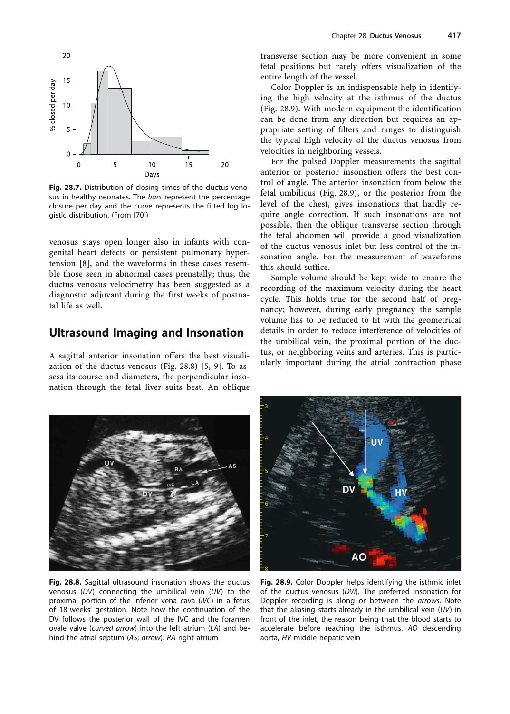

Fig. 28.7. Distribution of closing times of the ductus venosus in healthy neonates. The bars represent the percentage closure per day and the curve represents the fitted log logistic distribution. (From [70])

venosus stays open longer also in infants with congenital heart defects or persistent pulmonary hypertension [8], and the waveforms in these cases resemble those seen in abnormal cases prenatally; thus, the ductus venosus velocimetry has been suggested as a diagnostic adjuvant during the first weeks of postnatal life as well.

### **Ultrasound Imaging and Insonation**

A sagittal anterior insonation offers the best visualization of the ductus venosus (Fig. 28.8) [5, 9]. To assess its course and diameters, the perpendicular insonation through the fetal liver suits best. An oblique transverse section may be more convenient in some fetal positions but rarely offers visualization of the entire length of the vessel.

Color Doppler is an indispensable help in identifying the high velocity at the isthmus of the ductus (Fig. 28.9). With modern equipment the identification can be done from any direction but requires an appropriate setting of filters and ranges to distinguish the typical high velocity of the ductus venosus from velocities in neighboring vessels.

For the pulsed Doppler measurements the sagittal anterior or posterior insonation offers the best control of angle. The anterior insonation from below the fetal umbilicus (Fig. 28.9), or the posterior from the level of the chest, gives insonations that hardly require angle correction. If such insonations are not possible, then the oblique transverse section through the fetal abdomen will provide a good visualization of the ductus venosus inlet but less control of the insonation angle. For the measurement of waveforms this should suffice.

Sample volume should be kept wide to ensure the recording of the maximum velocity during the heart cycle. This holds true for the second half of pregnancy; however, during early pregnancy the sample volume has to be reduced to fit with the geometrical details in order to reduce interference of velocities of the umbilical vein, the proximal portion of the ductus, or neighboring veins and arteries. This is particularly important during the atrial contraction phase



Fig. 28.8. Sagittal ultrasound insonation shows the ductus venosus  $(DV)$  connecting the umbilical vein  $(UV)$  to the proximal portion of the inferior vena cava (IVC) in a fetus of 18 weeks' gestation. Note how the continuation of the DV follows the posterior wall of the IVC and the foramen ovale valve (curved arrow) into the left atrium (LA) and behind the atrial septum (AS; arrow). RA right atrium



Fig. 28.9. Color Doppler helps identifying the isthmic inlet of the ductus venosus (DVi). The preferred insonation for Doppler recording is along or between the arrows. Note that the aliasing starts already in the umbilical vein (UV) in front of the inlet, the reason being that the blood starts to accelerate before reaching the isthmus. AO descending aorta, HV middle hepatic vein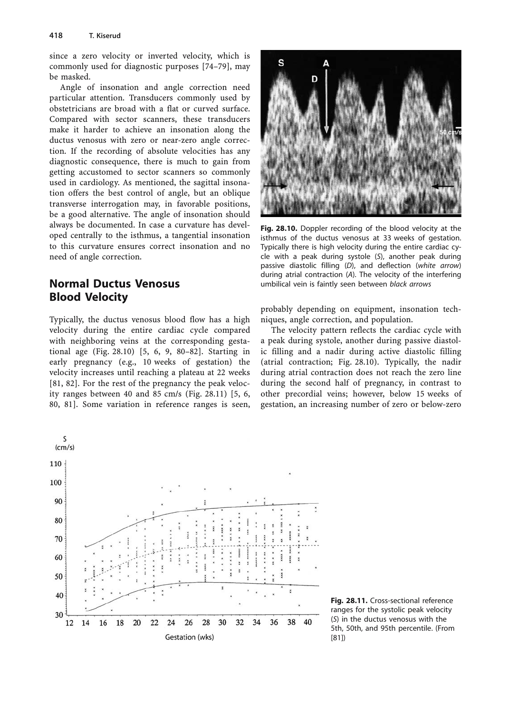since a zero velocity or inverted velocity, which is commonly used for diagnostic purposes [74-79], may be masked.

Angle of insonation and angle correction need particular attention. Transducers commonly used by obstetricians are broad with a flat or curved surface. Compared with sector scanners, these transducers make it harder to achieve an insonation along the ductus venosus with zero or near-zero angle correction. If the recording of absolute velocities has any diagnostic consequence, there is much to gain from getting accustomed to sector scanners so commonly used in cardiology. As mentioned, the sagittal insonation offers the best control of angle, but an oblique transverse interrogation may, in favorable positions, be a good alternative. The angle of insonation should always be documented. In case a curvature has developed centrally to the isthmus, a tangential insonation to this curvature ensures correct insonation and no need of angle correction.

### **Normal Ductus Venosus Blood Velocity**

Typically, the ductus venosus blood flow has a high velocity during the entire cardiac cycle compared with neighboring veins at the corresponding gestational age (Fig. 28.10)  $[5, 6, 9, 80-82]$ . Starting in early pregnancy (e.g., 10 weeks of gestation) the velocity increases until reaching a plateau at 22 weeks [81, 82]. For the rest of the pregnancy the peak velocity ranges between 40 and 85 cm/s (Fig. 28.11) [5, 6, 80, 81]. Some variation in reference ranges is seen,



Fig. 28.10. Doppler recording of the blood velocity at the isthmus of the ductus venosus at 33 weeks of gestation. Typically there is high velocity during the entire cardiac cycle with a peak during systole (S), another peak during passive diastolic filling (D), and deflection (white arrow) during atrial contraction (A). The velocity of the interfering umbilical vein is faintly seen between black arrows

probably depending on equipment, insonation techniques, angle correction, and population.

The velocity pattern reflects the cardiac cycle with a peak during systole, another during passive diastolic filling and a nadir during active diastolic filling (atrial contraction; Fig. 28.10). Typically, the nadir during atrial contraction does not reach the zero line during the second half of pregnancy, in contrast to other precordial veins; however, below 15 weeks of gestation, an increasing number of zero or below-zero



Fig. 28.11. Cross-sectional reference ranges for the systolic peak velocity (S) in the ductus venosus with the 5th, 50th, and 95th percentile. (From  $[81]$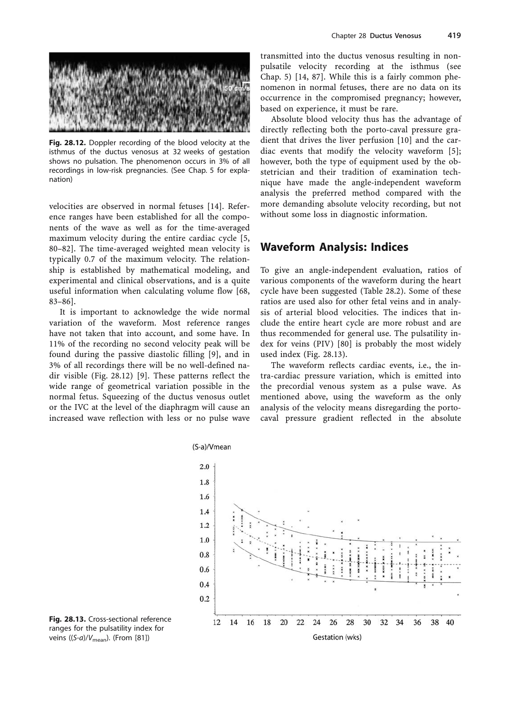

Fig. 28.12. Doppler recording of the blood velocity at the isthmus of the ductus venosus at 32 weeks of gestation shows no pulsation. The phenomenon occurs in 3% of all recordings in low-risk pregnancies. (See Chap. 5 for explanation)

velocities are observed in normal fetuses [14]. Reference ranges have been established for all the components of the wave as well as for the time-averaged maximum velocity during the entire cardiac cycle [5, 80-82]. The time-averaged weighted mean velocity is typically 0.7 of the maximum velocity. The relationship is established by mathematical modeling, and experimental and clinical observations, and is a quite useful information when calculating volume flow [68,  $83 - 86$ ].

It is important to acknowledge the wide normal variation of the waveform. Most reference ranges have not taken that into account, and some have. In 11% of the recording no second velocity peak will be found during the passive diastolic filling [9], and in 3% of all recordings there will be no well-defined nadir visible (Fig. 28.12) [9]. These patterns reflect the wide range of geometrical variation possible in the normal fetus. Squeezing of the ductus venosus outlet or the IVC at the level of the diaphragm will cause an increased wave reflection with less or no pulse wave

transmitted into the ductus venosus resulting in nonpulsatile velocity recording at the isthmus (see Chap. 5) [14, 87]. While this is a fairly common phenomenon in normal fetuses, there are no data on its occurrence in the compromised pregnancy; however, based on experience, it must be rare.

Absolute blood velocity thus has the advantage of directly reflecting both the porto-caval pressure gradient that drives the liver perfusion [10] and the cardiac events that modify the velocity waveform [5]; however, both the type of equipment used by the obstetrician and their tradition of examination technique have made the angle-independent waveform analysis the preferred method compared with the more demanding absolute velocity recording, but not without some loss in diagnostic information.

### **Waveform Analysis: Indices**

To give an angle-independent evaluation, ratios of various components of the waveform during the heart cycle have been suggested (Table 28.2). Some of these ratios are used also for other fetal veins and in analysis of arterial blood velocities. The indices that include the entire heart cycle are more robust and are thus recommended for general use. The pulsatility index for veins (PIV) [80] is probably the most widely used index (Fig. 28.13).

The waveform reflects cardiac events, i.e., the intra-cardiac pressure variation, which is emitted into the precordial venous system as a pulse wave. As mentioned above, using the waveform as the only analysis of the velocity means disregarding the portocaval pressure gradient reflected in the absolute



Fig. 28.13. Cross-sectional reference ranges for the pulsatility index for veins  $((S-a)/V_{mean})$ . (From [81])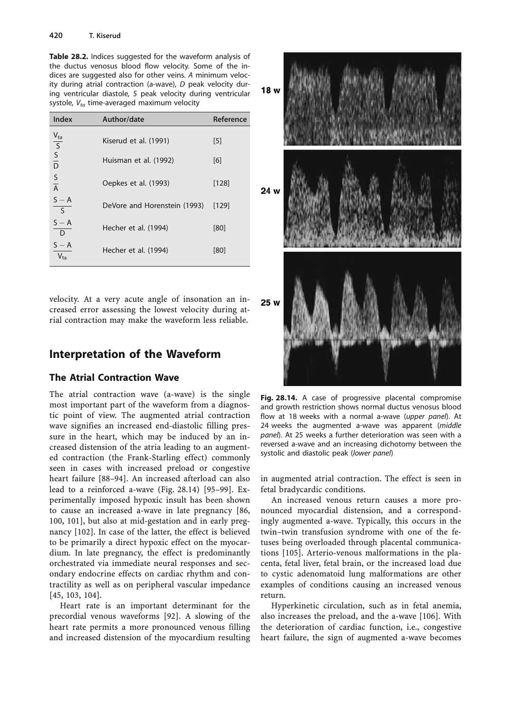Table 28.2. Indices suggested for the waveform analysis of the ductus venosus blood flow velocity. Some of the indices are suggested also for other veins. A minimum velocity during atrial contraction (a-wave), D peak velocity during ventricular diastole, S peak velocity during ventricular systole,  $V_{ta}$  time-averaged maximum velocity

| Index                               | Author/date                  | Reference         |
|-------------------------------------|------------------------------|-------------------|
| $\frac{V_{ta}}{S}$<br>$\frac{S}{D}$ | Kiserud et al. (1991)        | $\lceil 5 \rceil$ |
|                                     | Huisman et al. (1992)        | [6]               |
| $rac{S}{A}$                         | Oepkes et al. (1993)         | $[128]$           |
| $\frac{S-A}{S}$                     | DeVore and Horenstein (1993) | $[129]$           |
| $S - A$<br>- D                      | Hecher et al. (1994)         | [80]              |
| $S - A$<br>$V_{ta}$                 | Hecher et al. (1994)         | [80]              |

velocity. At a very acute angle of insonation an increased error assessing the lowest velocity during atrial contraction may make the waveform less reliable.

### **Interpretation of the Waveform**

### **The Atrial Contraction Wave**

The atrial contraction wave (a-wave) is the single most important part of the waveform from a diagnostic point of view. The augmented atrial contraction wave signifies an increased end-diastolic filling pressure in the heart, which may be induced by an increased distension of the atria leading to an augmented contraction (the Frank-Starling effect) commonly seen in cases with increased preload or congestive heart failure [88-94]. An increased afterload can also lead to a reinforced a-wave (Fig. 28.14) [95-99]. Experimentally imposed hypoxic insult has been shown to cause an increased a-wave in late pregnancy [86, 100, 101], but also at mid-gestation and in early pregnancy [102]. In case of the latter, the effect is believed to be primarily a direct hypoxic effect on the myocardium. In late pregnancy, the effect is predominantly orchestrated via immediate neural responses and secondary endocrine effects on cardiac rhythm and contractility as well as on peripheral vascular impedance  $[45, 103, 104]$ .

Heart rate is an important determinant for the precordial venous waveforms [92]. A slowing of the heart rate permits a more pronounced venous filling and increased distension of the myocardium resulting



Fig. 28.14. A case of progressive placental compromise and growth restriction shows normal ductus venosus blood flow at 18 weeks with a normal a-wave (upper panel). At 24 weeks the augmented a-wave was apparent (middle panel). At 25 weeks a further deterioration was seen with a reversed a-wave and an increasing dichotomy between the systolic and diastolic peak (lower panel)

in augmented atrial contraction. The effect is seen in fetal bradycardic conditions.

An increased venous return causes a more pronounced myocardial distension, and a correspondingly augmented a-wave. Typically, this occurs in the twin-twin transfusion syndrome with one of the fetuses being overloaded through placental communications [105]. Arterio-venous malformations in the placenta, fetal liver, fetal brain, or the increased load due to cystic adenomatoid lung malformations are other examples of conditions causing an increased venous return.

Hyperkinetic circulation, such as in fetal anemia, also increases the preload, and the a-wave [106]. With the deterioration of cardiac function, i.e., congestive heart failure, the sign of augmented a-wave becomes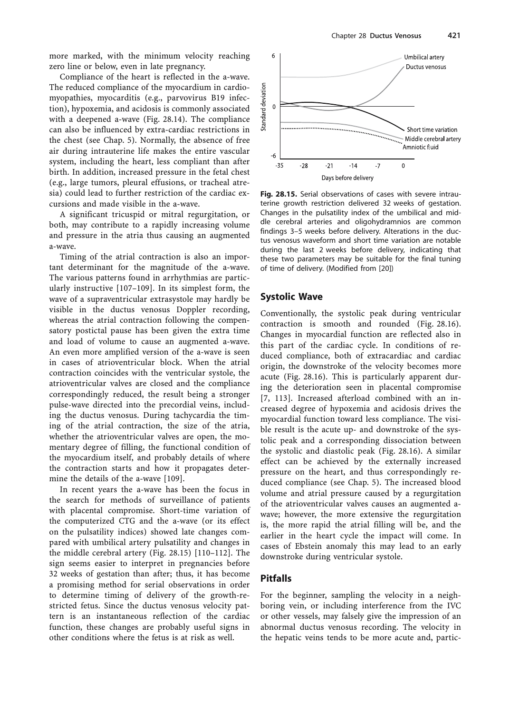more marked, with the minimum velocity reaching zero line or below, even in late pregnancy.

Compliance of the heart is reflected in the a-wave. The reduced compliance of the myocardium in cardiomyopathies, myocarditis (e.g., parvovirus B19 infection), hypoxemia, and acidosis is commonly associated with a deepened a-wave (Fig. 28.14). The compliance can also be influenced by extra-cardiac restrictions in the chest (see Chap. 5). Normally, the absence of free air during intrauterine life makes the entire vascular system, including the heart, less compliant than after birth. In addition, increased pressure in the fetal chest (e.g., large tumors, pleural effusions, or tracheal atresia) could lead to further restriction of the cardiac excursions and made visible in the a-wave.

A significant tricuspid or mitral regurgitation, or both, may contribute to a rapidly increasing volume and pressure in the atria thus causing an augmented a-wave.

Timing of the atrial contraction is also an important determinant for the magnitude of the a-wave. The various patterns found in arrhythmias are particularly instructive [107-109]. In its simplest form, the wave of a supraventricular extrasystole may hardly be visible in the ductus venosus Doppler recording, whereas the atrial contraction following the compensatory postictal pause has been given the extra time and load of volume to cause an augmented a-wave. An even more amplified version of the a-wave is seen in cases of atrioventricular block. When the atrial contraction coincides with the ventricular systole, the atrioventricular valves are closed and the compliance correspondingly reduced, the result being a stronger pulse-wave directed into the precordial veins, including the ductus venosus. During tachycardia the timing of the atrial contraction, the size of the atria, whether the atrioventricular valves are open, the momentary degree of filling, the functional condition of the myocardium itself, and probably details of where the contraction starts and how it propagates determine the details of the a-wave [109].

In recent years the a-wave has been the focus in the search for methods of surveillance of patients with placental compromise. Short-time variation of the computerized CTG and the a-wave (or its effect on the pulsatility indices) showed late changes compared with umbilical artery pulsatility and changes in the middle cerebral artery (Fig. 28.15) [110-112]. The sign seems easier to interpret in pregnancies before 32 weeks of gestation than after; thus, it has become a promising method for serial observations in order to determine timing of delivery of the growth-restricted fetus. Since the ductus venosus velocity pattern is an instantaneous reflection of the cardiac function, these changes are probably useful signs in other conditions where the fetus is at risk as well.



Fig. 28.15. Serial observations of cases with severe intrauterine growth restriction delivered 32 weeks of gestation. Changes in the pulsatility index of the umbilical and middle cerebral arteries and oligohydramnios are common findings 3-5 weeks before delivery. Alterations in the ductus venosus waveform and short time variation are notable during the last 2 weeks before delivery, indicating that these two parameters may be suitable for the final tuning of time of delivery. (Modified from [20])

#### **Systolic Wave**

Conventionally, the systolic peak during ventricular contraction is smooth and rounded (Fig. 28.16). Changes in myocardial function are reflected also in this part of the cardiac cycle. In conditions of reduced compliance, both of extracardiac and cardiac origin, the downstroke of the velocity becomes more acute (Fig. 28.16). This is particularly apparent during the deterioration seen in placental compromise [7, 113]. Increased afterload combined with an increased degree of hypoxemia and acidosis drives the myocardial function toward less compliance. The visible result is the acute up- and downstroke of the systolic peak and a corresponding dissociation between the systolic and diastolic peak (Fig. 28.16). A similar effect can be achieved by the externally increased pressure on the heart, and thus correspondingly reduced compliance (see Chap. 5). The increased blood volume and atrial pressure caused by a regurgitation of the atrioventricular valves causes an augmented awave; however, the more extensive the regurgitation is, the more rapid the atrial filling will be, and the earlier in the heart cycle the impact will come. In cases of Ebstein anomaly this may lead to an early downstroke during ventricular systole.

#### **Pitfalls**

For the beginner, sampling the velocity in a neighboring vein, or including interference from the IVC or other vessels, may falsely give the impression of an abnormal ductus venosus recording. The velocity in the hepatic veins tends to be more acute and, partic-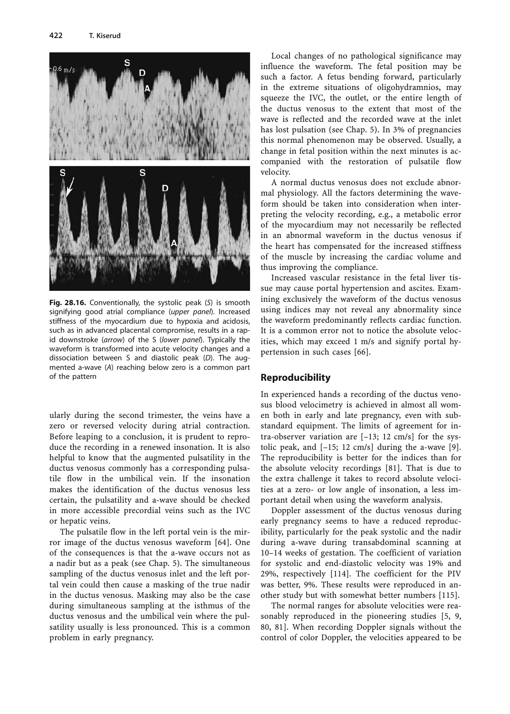

Fig. 28.16. Conventionally, the systolic peak (S) is smooth signifying good atrial compliance (upper panel). Increased stiffness of the myocardium due to hypoxia and acidosis, such as in advanced placental compromise, results in a rapid downstroke (arrow) of the S (lower panel). Typically the waveform is transformed into acute velocity changes and a dissociation between S and diastolic peak (D). The augmented a-wave (A) reaching below zero is a common part of the pattern

ularly during the second trimester, the veins have a zero or reversed velocity during atrial contraction. Before leaping to a conclusion, it is prudent to reproduce the recording in a renewed insonation. It is also helpful to know that the augmented pulsatility in the ductus venosus commonly has a corresponding pulsatile flow in the umbilical vein. If the insonation makes the identification of the ductus venosus less certain, the pulsatility and a-wave should be checked in more accessible precordial veins such as the IVC or hepatic veins.

The pulsatile flow in the left portal vein is the mirror image of the ductus venosus waveform [64]. One of the consequences is that the a-wave occurs not as a nadir but as a peak (see Chap. 5). The simultaneous sampling of the ductus venosus inlet and the left portal vein could then cause a masking of the true nadir in the ductus venosus. Masking may also be the case during simultaneous sampling at the isthmus of the ductus venosus and the umbilical vein where the pulsatility usually is less pronounced. This is a common problem in early pregnancy.

Local changes of no pathological significance may influence the waveform. The fetal position may be such a factor. A fetus bending forward, particularly in the extreme situations of oligohydramnios, may squeeze the IVC, the outlet, or the entire length of the ductus venosus to the extent that most of the wave is reflected and the recorded wave at the inlet has lost pulsation (see Chap. 5). In 3% of pregnancies this normal phenomenon may be observed. Usually, a change in fetal position within the next minutes is accompanied with the restoration of pulsatile flow velocity.

A normal ductus venosus does not exclude abnormal physiology. All the factors determining the waveform should be taken into consideration when interpreting the velocity recording, e.g., a metabolic error of the myocardium may not necessarily be reflected in an abnormal waveform in the ductus venosus if the heart has compensated for the increased stiffness of the muscle by increasing the cardiac volume and thus improving the compliance.

Increased vascular resistance in the fetal liver tissue may cause portal hypertension and ascites. Examining exclusively the waveform of the ductus venosus using indices may not reveal any abnormality since the waveform predominantly reflects cardiac function. It is a common error not to notice the absolute velocities, which may exceed 1 m/s and signify portal hypertension in such cases [66].

#### **Reproducibility**

In experienced hands a recording of the ductus venosus blood velocimetry is achieved in almost all women both in early and late pregnancy, even with substandard equipment. The limits of agreement for intra-observer variation are  $[-13; 12 \text{ cm/s}]$  for the systolic peak, and  $[-15; 12 \text{ cm/s}]$  during the a-wave [9]. The reproducibility is better for the indices than for the absolute velocity recordings [81]. That is due to the extra challenge it takes to record absolute velocities at a zero- or low angle of insonation, a less important detail when using the waveform analysis.

Doppler assessment of the ductus venosus during early pregnancy seems to have a reduced reproducibility, particularly for the peak systolic and the nadir during a-wave during transabdominal scanning at 10-14 weeks of gestation. The coefficient of variation for systolic and end-diastolic velocity was 19% and 29%, respectively [114]. The coefficient for the PIV was better, 9%. These results were reproduced in another study but with somewhat better numbers [115].

The normal ranges for absolute velocities were reasonably reproduced in the pioneering studies [5, 9, 80, 81]. When recording Doppler signals without the control of color Doppler, the velocities appeared to be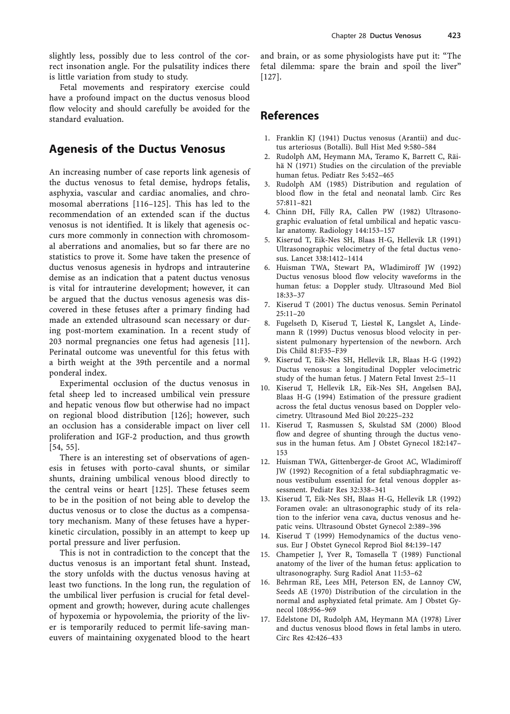slightly less, possibly due to less control of the correct insonation angle. For the pulsatility indices there is little variation from study to study.

Fetal movements and respiratory exercise could have a profound impact on the ductus venosus blood flow velocity and should carefully be avoided for the standard evaluation.

### **Agenesis of the Ductus Venosus**

An increasing number of case reports link agenesis of the ductus venosus to fetal demise, hydrops fetalis, asphyxia, vascular and cardiac anomalies, and chromosomal aberrations [116-125]. This has led to the recommendation of an extended scan if the ductus venosus is not identified. It is likely that agenesis occurs more commonly in connection with chromosomal aberrations and anomalies, but so far there are no statistics to prove it. Some have taken the presence of ductus venosus agenesis in hydrops and intrauterine demise as an indication that a patent ductus venosus is vital for intrauterine development; however, it can be argued that the ductus venosus agenesis was discovered in these fetuses after a primary finding had made an extended ultrasound scan necessary or during post-mortem examination. In a recent study of 203 normal pregnancies one fetus had agenesis [11]. Perinatal outcome was uneventful for this fetus with a birth weight at the 39th percentile and a normal ponderal index.

Experimental occlusion of the ductus venosus in fetal sheep led to increased umbilical vein pressure and hepatic venous flow but otherwise had no impact on regional blood distribution [126]; however, such an occlusion has a considerable impact on liver cell proliferation and IGF-2 production, and thus growth  $[54, 55]$ .

There is an interesting set of observations of agenesis in fetuses with porto-caval shunts, or similar shunts, draining umbilical venous blood directly to the central veins or heart [125]. These fetuses seem to be in the position of not being able to develop the ductus venosus or to close the ductus as a compensatory mechanism. Many of these fetuses have a hyperkinetic circulation, possibly in an attempt to keep up portal pressure and liver perfusion.

This is not in contradiction to the concept that the ductus venosus is an important fetal shunt. Instead, the story unfolds with the ductus venosus having at least two functions. In the long run, the regulation of the umbilical liver perfusion is crucial for fetal development and growth; however, during acute challenges of hypoxemia or hypovolemia, the priority of the liver is temporarily reduced to permit life-saving maneuvers of maintaining oxygenated blood to the heart

and brain, or as some physiologists have put it: "The fetal dilemma: spare the brain and spoil the liver"  $[127]$ 

### **References**

- 1. Franklin KJ (1941) Ductus venosus (Arantii) and ductus arteriosus (Botalli). Bull Hist Med 9:580-584
- Rudolph AM, Heymann MA, Teramo K, Barrett C, Räihä N (1971) Studies on the circulation of the previable human fetus. Pediatr Res 5:452-465
- 3. Rudolph AM (1985) Distribution and regulation of blood flow in the fetal and neonatal lamb. Circ Res  $57:811 - 821$
- 4. Chinn DH, Filly RA, Callen PW (1982) Ultrasonographic evaluation of fetal umbilical and hepatic vascular anatomy. Radiology 144:153-157
- 5. Kiserud T, Eik-Nes SH, Blaas H-G, Hellevik LR (1991) Ultrasonographic velocimetry of the fetal ductus venosus. Lancet 338:1412-1414
- 6. Huisman TWA, Stewart PA, Wladimiroff JW (1992) Ductus venosus blood flow velocity waveforms in the human fetus: a Doppler study. Ultrasound Med Biol  $18:33 - 37$
- Kiserud T (2001) The ductus venosus. Semin Perinatol 7.  $25:11 - 20$
- Fugelseth D, Kiserud T, Liestøl K, Langslet A, Lindemann R (1999) Ductus venosus blood velocity in persistent pulmonary hypertension of the newborn. Arch Dis Child 81:F35-F39
- 9. Kiserud T, Eik-Nes SH, Hellevik LR, Blaas H-G (1992) Ductus venosus: a longitudinal Doppler velocimetric study of the human fetus. J Matern Fetal Invest 2:5-11
- Kiserud T, Hellevik LR, Eik-Nes SH, Angelsen BAJ, Blaas H-G (1994) Estimation of the pressure gradient across the fetal ductus venosus based on Doppler velocimetry. Ultrasound Med Biol 20:225-232
- 11. Kiserud T, Rasmussen S, Skulstad SM (2000) Blood flow and degree of shunting through the ductus venosus in the human fetus. Am J Obstet Gynecol 182:147-153
- 12. Huisman TWA, Gittenberger-de Groot AC, Wladimiroff JW (1992) Recognition of a fetal subdiaphragmatic venous vestibulum essential for fetal venous doppler assessment. Pediatr Res 32:338-341
- 13. Kiserud T, Eik-Nes SH, Blaas H-G, Hellevik LR (1992) Foramen ovale: an ultrasonographic study of its relation to the inferior vena cava, ductus venosus and hepatic veins. Ultrasound Obstet Gynecol 2:389-396
- 14. Kiserud T (1999) Hemodynamics of the ductus venosus. Eur J Obstet Gynecol Reprod Biol 84:139-147
- 15. Champetier J, Yver R, Tomasella T (1989) Functional anatomy of the liver of the human fetus: application to ultrasonography. Surg Radiol Anat 11:53-62
- $16.$ Behrman RE, Lees MH, Peterson EN, de Lannoy CW, Seeds AE (1970) Distribution of the circulation in the normal and asphyxiated fetal primate. Am J Obstet Gynecol 108:956-969
- 17. Edelstone DI, Rudolph AM, Heymann MA (1978) Liver and ductus venosus blood flows in fetal lambs in utero. Circ Res 42:426-433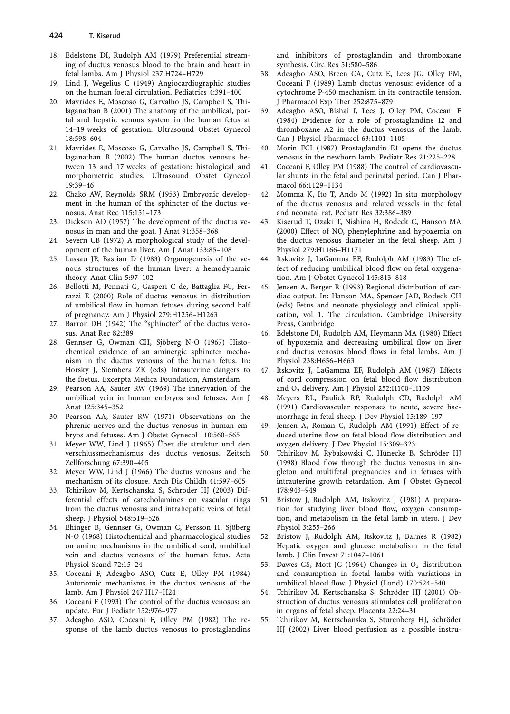- 18. Edelstone DI, Rudolph AM (1979) Preferential streaming of ductus venosus blood to the brain and heart in fetal lambs. Am I Physiol 237:H724-H729
- 19. Lind J, Wegelius C (1949) Angiocardiographic studies on the human foetal circulation. Pediatrics 4:391-400
- 20. Mavrides E, Moscoso G, Carvalho JS, Campbell S, Thilaganathan B (2001) The anatomy of the umbilical, portal and hepatic venous system in the human fetus at 14-19 weeks of gestation. Ultrasound Obstet Gynecol 18:598-604
- 21. Mavrides E, Moscoso G, Carvalho JS, Campbell S, Thilaganathan B (2002) The human ductus venosus between 13 and 17 weeks of gestation: histological and morphometric studies. Ultrasound Obstet Gynecol 19:39-46
- 22. Chako AW, Reynolds SRM (1953) Embryonic development in the human of the sphincter of the ductus venosus. Anat Rec 115:151-173
- 23. Dickson AD (1957) The development of the ductus venosus in man and the goat. J Anat 91:358-368
- 24. Severn CB (1972) A morphological study of the development of the human liver. Am J Anat 133:85-108
- 25. Lassau JP, Bastian D (1983) Organogenesis of the venous structures of the human liver: a hemodynamic theory. Anat Clin 5:97-102
- 26. Bellotti M, Pennati G, Gasperi C de, Battaglia FC, Ferrazzi E (2000) Role of ductus venosus in distribution of umbilical flow in human fetuses during second half of pregnancy. Am J Physiol 279:H1256-H1263
- 27. Barron DH (1942) The "sphincter" of the ductus venosus. Anat Rec 82:389
- Gennser G, Owman CH, Sjöberg N-O (1967) Histo-28. chemical evidence of an aminergic sphincter mechanism in the ductus venosus of the human fetus. In: Horsky J, Stembera ZK (eds) Intrauterine dangers to the foetus. Excerpta Medica Foundation, Amsterdam
- 29. Pearson AA, Sauter RW (1969) The innervation of the umbilical vein in human embryos and fetuses. Am J Anat 125:345-352
- 30. Pearson AA, Sauter RW (1971) Observations on the phrenic nerves and the ductus venosus in human embryos and fetuses. Am J Obstet Gynecol 110:560-565
- 31. Meyer WW, Lind J (1965) Über die struktur und den verschlussmechanismus des ductus venosus. Zeitsch Zellforschung 67:390-405
- 32. Meyer WW, Lind J (1966) The ductus venosus and the mechanism of its closure. Arch Dis Childh 41:597-605
- Tchirikov M, Kertschanska S, Schroder HJ (2003) Dif-33. ferential effects of catecholamines on vascular rings from the ductus venosus and intrahepatic veins of fetal sheep. J Physiol 548:519-526
- 34. Ehinger B, Gennser G, Owman C, Persson H, Sjöberg N-O (1968) Histochemical and pharmacological studies on amine mechanisms in the umbilical cord, umbilical vein and ductus venosus of the human fetus. Acta Physiol Scand 72:15-24
- 35. Coceani F, Adeagbo ASO, Cutz E, Olley PM (1984) Autonomic mechanisms in the ductus venosus of the lamb. Am J Physiol 247:H17-H24
- 36. Coceani F (1993) The control of the ductus venosus: an update. Eur J Pediatr 152:976-977
- 37. Adeagbo ASO, Coceani F, Olley PM (1982) The response of the lamb ductus venosus to prostaglandins

and inhibitors of prostaglandin and thromboxane synthesis. Circ Res 51:580-586

- 38. Adeagbo ASO, Breen CA, Cutz E, Lees IG, Olley PM, Coceani F (1989) Lamb ductus venosus: evidence of a cytochrome P-450 mechanism in its contractile tension. J Pharmacol Exp Ther 252:875-879
- 39. Adeagbo ASO, Bishai I, Lees J, Olley PM, Coceani F (1984) Evidence for a role of prostaglandine I2 and thromboxane A2 in the ductus venosus of the lamb. Can J Physiol Pharmacol 63:1101-1105
- 40. Morin FCI (1987) Prostaglandin E1 opens the ductus venosus in the newborn lamb. Pediatr Res 21:225-228
- 41. Coceani F, Olley PM (1988) The control of cardiovascular shunts in the fetal and perinatal period. Can J Pharmacol 66:1129-1134
- 42. Momma K, Ito T, Ando M (1992) In situ morphology of the ductus venosus and related vessels in the fetal and neonatal rat. Pediatr Res 32:386-389
- 43. Kiserud T, Ozaki T, Nishina H, Rodeck C, Hanson MA (2000) Effect of NO, phenylephrine and hypoxemia on the ductus venosus diameter in the fetal sheep. Am J Physiol 279:H1166-H1171
- Itskovitz J, LaGamma EF, Rudolph AM (1983) The ef-44. fect of reducing umbilical blood flow on fetal oxygenation. Am J Obstet Gynecol 145:813-818
- Jensen A, Berger R (1993) Regional distribution of car-45. diac output. In: Hanson MA, Spencer JAD, Rodeck CH (eds) Fetus and neonate physiology and clinical application, vol 1. The circulation. Cambridge University Press, Cambridge
- Edelstone DI, Rudolph AM, Heymann MA (1980) Effect 46. of hypoxemia and decreasing umbilical flow on liver and ductus venosus blood flows in fetal lambs. Am J Physiol 238:H656-H663
- Itskovitz J, LaGamma EF, Rudolph AM (1987) Effects 47. of cord compression on fetal blood flow distribution and O<sub>2</sub> delivery. Am J Physiol 252:H100-H109
- Meyers RL, Paulick RP, Rudolph CD, Rudolph AM 48. (1991) Cardiovascular responses to acute, severe haemorrhage in fetal sheep. J Dev Physiol 15:189-197
- 49. Jensen A, Roman C, Rudolph AM (1991) Effect of reduced uterine flow on fetal blood flow distribution and oxygen delivery. J Dev Physiol 15:309-323
- 50. Tchirikov M, Rybakowski C, Hünecke B, Schröder HJ (1998) Blood flow through the ductus venosus in singleton and multifetal pregnancies and in fetuses with intrauterine growth retardation. Am J Obstet Gynecol 178:943-949
- 51. Bristow J, Rudolph AM, Itskovitz J (1981) A preparation for studying liver blood flow, oxygen consumption, and metabolism in the fetal lamb in utero. J Dev Physiol 3:255-266
- Bristow J, Rudolph AM, Itskovitz J, Barnes R (1982) 52. Hepatic oxygen and glucose metabolism in the fetal lamb. J Clin Invest 71:1047-1061
- 53. Dawes GS, Mott JC (1964) Changes in O<sub>2</sub> distribution and consumption in foetal lambs with variations in umbilical blood flow. J Physiol (Lond) 170:524-540
- 54. Tchirikov M, Kertschanska S, Schröder HJ (2001) Obstruction of ductus venosus stimulates cell proliferation in organs of fetal sheep. Placenta 22:24-31
- 55 Tchirikov M, Kertschanska S, Sturenberg HJ, Schröder HJ (2002) Liver blood perfusion as a possible instru-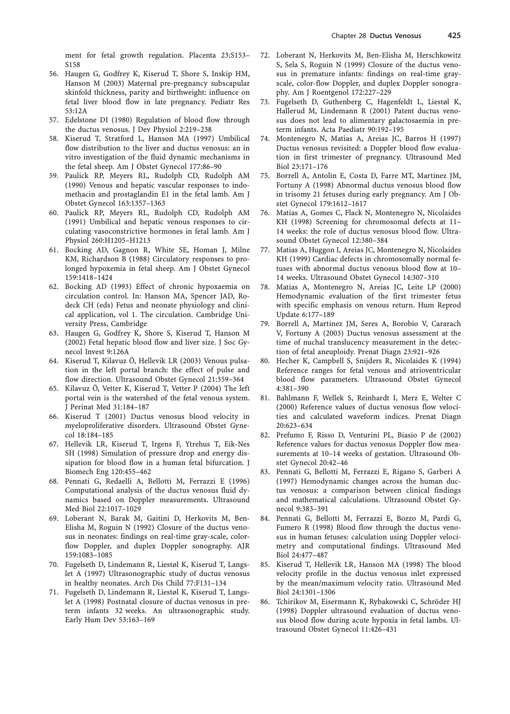ment for fetal growth regulation. Placenta 23:S153-S<sub>158</sub>

- 56. Haugen G, Godfrey K, Kiserud T, Shore S, Inskip HM, Hanson M (2003) Maternal pre-pregnancy subscapular skinfold thickness, parity and birthweight: influence on fetal liver blood flow in late pregnancy. Pediatr Res  $53:12A$
- 57. Edelstone DI (1980) Regulation of blood flow through the ductus venosus. J Dev Physiol 2:219-238
- 58. Kiserud T, Stratford L, Hanson MA (1997) Umbilical flow distribution to the liver and ductus venosus: an in vitro investigation of the fluid dynamic mechanisms in the fetal sheep. Am J Obstet Gynecol 177:86-90
- 59. Paulick RP, Meyers RL, Rudolph CD, Rudolph AM (1990) Venous and hepatic vascular responses to indomethacin and prostaglandin E1 in the fetal lamb. Am J Obstet Gynecol 163:1357-1363
- 60. Paulick RP, Meyers RL, Rudolph CD, Rudolph AM (1991) Umbilical and hepatic venous responses to circulating vasoconstrictive hormones in fetal lamb. Am J Physiol 260:H1205-H1213
- 61. Bocking AD, Gagnon R, White SE, Homan J, Milne KM, Richardson B (1988) Circulatory responses to prolonged hypoxemia in fetal sheep. Am J Obstet Gynecol 159:1418-1424
- 62. Bocking AD (1993) Effect of chronic hypoxaemia on circulation control. In: Hanson MA, Spencer JAD, Rodeck CH (eds) Fetus and neonate physiology and clinical application, vol 1. The circulation. Cambridge University Press, Cambridge
- 63. Haugen G, Godfrey K, Shore S, Kiserud T, Hanson M (2002) Fetal hepatic blood flow and liver size. J Soc Gynecol Invest 9:126A
- Kiserud T, Kilavuz Ö, Hellevik LR (2003) Venous pulsa-64. tion in the left portal branch: the effect of pulse and flow direction. Ultrasound Obstet Gynecol 21:359-364
- 65. Kilavuz Ö, Vetter K, Kiserud T, Vetter P (2004) The left portal vein is the watershed of the fetal venous system. J Perinat Med 31:184-187
- 66. Kiserud T (2001) Ductus venosus blood velocity in myeloproliferative disorders. Ultrasound Obstet Gynecol 18:184-185
- 67. Hellevik LR, Kiserud T, Irgens F, Ytrehus T, Eik-Nes SH (1998) Simulation of pressure drop and energy dissipation for blood flow in a human fetal bifurcation. J Biomech Eng 120:455-462
- 68. Pennati G, Redaelli A, Bellotti M, Ferrazzi E (1996) Computational analysis of the ductus venosus fluid dynamics based on Doppler measurements. Ultrasound Med Biol 22:1017-1029
- 69. Loberant N, Barak M, Gaitini D, Herkovits M, Ben-Elisha M, Roguin N (1992) Closure of the ductus venosus in neonates: findings on real-time gray-scale, colorflow Doppler, and duplex Doppler sonography. AJR 159:1083-1085
- 70. Fugelseth D, Lindemann R, Liestøl K, Kiserud T, Langslet A (1997) Ultrasonographic study of ductus venosus in healthy neonates. Arch Dis Child 77:F131-134
- 71. Fugelseth D, Lindemann R, Liestøl K, Kiserud T, Langslet A (1998) Postnatal closure of ductus venosus in preterm infants 32 weeks. An ultrasonographic study. Early Hum Dev 53:163-169
- 72. Loberant N, Herkovits M, Ben-Elisha M, Herschkowitz S, Sela S, Roguin N (1999) Closure of the ductus venosus in premature infants: findings on real-time gravscale, color-flow Doppler, and duplex Doppler sonography. Am J Roentgenol 172:227-229
- Fugelseth D, Guthenberg C, Hagenfeldt L, Liestøl K, 73. Hallerud M, Lindemann R (2001) Patent ductus venosus does not lead to alimentary galactosaemia in preterm infants. Acta Paediatr 90:192-195
- 74. Montenegro N, Matias A, Areias JC, Barros H (1997) Ductus venosus revisited: a Doppler blood flow evaluation in first trimester of pregnancy. Ultrasound Med Biol 23:171-176
- Borrell A, Antolin E, Costa D, Farre MT, Martinez JM, 75. Fortuny A (1998) Abnormal ductus venosus blood flow in trisomy 21 fetuses during early pregnancy. Am J Obstet Gynecol 179:1612-1617
- 76. Matias A, Gomes C, Flack N, Montenegro N, Nicolaides KH (1998) Screening for chromosomal defects at 11-14 weeks: the role of ductus venosus blood flow. Ultrasound Obstet Gynecol 12:380-384
- Matias A, Huggon I, Areias JC, Montenegro N, Nicolaides 77. KH (1999) Cardiac defects in chromosomally normal fetuses with abnormal ductus venosus blood flow at 10-14 weeks. Ultrasound Obstet Gynecol 14:307-310
- Matias A, Montenegro N, Areias JC, Leite LP (2000) 78. Hemodynamic evaluation of the first trimester fetus with specific emphasis on venous return. Hum Reprod Update 6:177-189
- 79. Borrell A, Martinez JM, Seres A, Borobio V, Cararach V, Fortuny A (2003) Ductus venosus assessment at the time of nuchal translucency measurement in the detection of fetal aneuploidy. Prenat Diagn 23:921-926
- Hecher K, Campbell S, Snijders R, Nicolaides K (1994) 80. Reference ranges for fetal venous and atrioventricular blood flow parameters. Ultrasound Obstet Gynecol  $4:381 - 390$
- 81. Bahlmann F, Wellek S, Reinhardt I, Merz E, Welter C (2000) Reference values of ductus venosus flow velocities and calculated waveform indices. Prenat Diagn 20:623-634
- 82. Prefumo F, Risso D, Venturini PL, Biasio P de (2002) Reference values for ductus venosus Doppler flow measurements at 10-14 weeks of gestation. Ultrasound Obstet Gynecol 20:42-46
- 83. Pennati G, Bellotti M, Ferrazzi E, Rigano S, Garberi A (1997) Hemodynamic changes across the human ductus venosus: a comparison between clinical findings and mathematical calculations. Ultrasound Obstet Gynecol 9:383-391
- 84. Pennati G, Bellotti M, Ferrazzi E, Bozzo M, Pardi G, Fumero R (1998) Blood flow through the ductus venosus in human fetuses: calculation using Doppler velocimetry and computational findings. Ultrasound Med Biol 24:477-487
- Kiserud T, Hellevik LR, Hanson MA (1998) The blood 85. velocity profile in the ductus venosus inlet expressed by the mean/maximum velocity ratio. Ultrasound Med Biol 24:1301-1306
- Tchirikov M, Eisermann K, Rybakowski C, Schröder HJ 86. (1998) Doppler ultrasound evaluation of ductus venosus blood flow during acute hypoxia in fetal lambs. Ultrasound Obstet Gynecol 11:426-431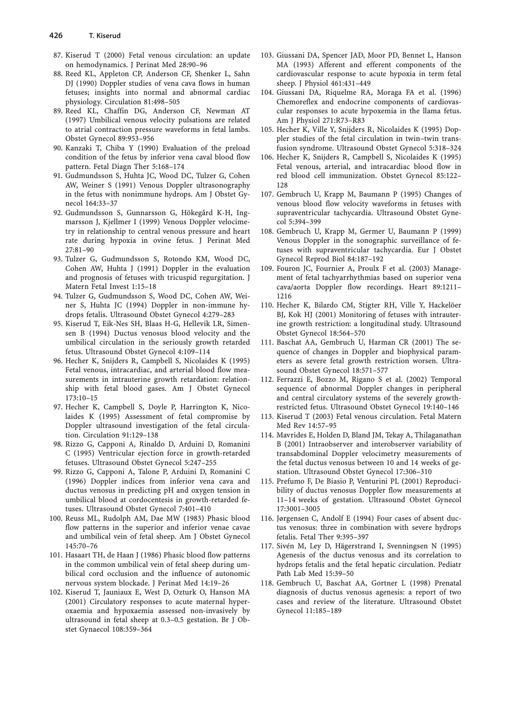- 87. Kiserud T (2000) Fetal venous circulation: an update on hemodynamics. J Perinat Med 28:90-96
- 88. Reed KL, Appleton CP, Anderson CF, Shenker L, Sahn DJ (1990) Doppler studies of vena cava flows in human fetuses; insights into normal and abnormal cardiac physiology. Circulation 81:498-505
- 89. Reed KL, Chaffin DG, Anderson CF, Newman AT (1997) Umbilical venous velocity pulsations are related to atrial contraction pressure waveforms in fetal lambs. Obstet Gynecol 89:953-956
- 90. Kanzaki T, Chiba Y (1990) Evaluation of the preload condition of the fetus by inferior vena caval blood flow pattern. Fetal Diagn Ther 5:168-174
- 91. Gudmundsson S, Huhta JC, Wood DC, Tulzer G, Cohen AW, Weiner S (1991) Venous Doppler ultrasonography in the fetus with nonimmune hydrops. Am J Obstet Gynecol 164:33-37
- 92. Gudmundsson S, Gunnarsson G, Hökegård K-H, Ingmarsson J, Kjellmer I (1999) Venous Doppler velocimetry in relationship to central venous pressure and heart rate during hypoxia in ovine fetus. J Perinat Med 27:81-90
- 93. Tulzer G, Gudmundsson S, Rotondo KM, Wood DC, Cohen AW, Huhta J (1991) Doppler in the evaluation and prognosis of fetuses with tricuspid regurgitation. J Matern Fetal Invest 1:15-18
- 94. Tulzer G, Gudmundsson S, Wood DC, Cohen AW, Weiner S, Huhta JC (1994) Doppler in non-immune hydrops fetalis. Ultrasound Obstet Gynecol 4:279-283
- 95. Kiserud T, Eik-Nes SH, Blaas H-G, Hellevik LR, Simensen B (1994) Ductus venosus blood velocity and the umbilical circulation in the seriously growth retarded fetus. Ultrasound Obstet Gynecol 4:109-114
- 96. Hecher K, Snijders R, Campbell S, Nicolaides K (1995) Fetal venous, intracardiac, and arterial blood flow measurements in intrauterine growth retardation: relationship with fetal blood gases. Am J Obstet Gynecol  $173:10-15$
- 97. Hecher K, Campbell S, Doyle P, Harrington K, Nicolaides K (1995) Assessment of fetal compromise by Doppler ultrasound investigation of the fetal circulation. Circulation 91:129-138
- 98. Rizzo G, Capponi A, Rinaldo D, Arduini D, Romanini C (1995) Ventricular ejection force in growth-retarded fetuses. Ultrasound Obstet Gynecol 5:247-255
- 99. Rizzo G, Capponi A, Talone P, Arduini D, Romanini C (1996) Doppler indices from inferior vena cava and ductus venosus in predicting pH and oxygen tension in umbilical blood at cordocentesis in growth-retarded fetuses. Ultrasound Obstet Gynecol 7:401-410
- 100. Reuss ML, Rudolph AM, Dae MW (1983) Phasic blood flow patterns in the superior and inferior venae cavae and umbilical vein of fetal sheep. Am J Obstet Gynecol 145:70-76
- 101. Hasaart TH, de Haan J (1986) Phasic blood flow patterns in the common umbilical vein of fetal sheep during umbilical cord occlusion and the influence of autonomic nervous system blockade. J Perinat Med 14:19-26
- 102. Kiserud T, Jauniaux E, West D, Ozturk O, Hanson MA (2001) Circulatory responses to acute maternal hyperoxaemia and hypoxaemia assessed non-invasively by ultrasound in fetal sheep at 0.3-0.5 gestation. Br J Obstet Gynaecol 108:359-364
- 103. Giussani DA, Spencer JAD, Moor PD, Bennet L, Hanson MA (1993) Afferent and efferent components of the cardiovascular response to acute hypoxia in term fetal sheep. J Physiol 461:431-449
- 104. Giussani DA, Riquelme RA, Moraga FA et al. (1996) Chemoreflex and endocrine components of cardiovascular responses to acute hypoxemia in the llama fetus. Am J Physiol 271:R73-R83
- 105. Hecher K, Ville Y, Snijders R, Nicolaides K (1995) Doppler studies of the fetal circulation in twin-twin transfusion syndrome. Ultrasound Obstet Gynecol 5:318-324
- 106. Hecher K, Snijders R, Campbell S, Nicolaides K (1995) Fetal venous, arterial, and intracardiac blood flow in red blood cell immunization. Obstet Gynecol 85:122-128
- 107. Gembruch U, Krapp M, Baumann P (1995) Changes of venous blood flow velocity waveforms in fetuses with supraventricular tachycardia. Ultrasound Obstet Gynecol 5:394-399
- 108. Gembruch U, Krapp M, Germer U, Baumann P (1999) Venous Doppler in the sonographic surveillance of fetuses with supraventricular tachycardia. Eur J Obstet Gynecol Reprod Biol 84:187-192
- 109. Fouron JC, Fournier A, Proulx F et al. (2003) Management of fetal tachyarrhythmias based on superior vena cava/aorta Doppler flow recordings. Heart 89:1211-1216
- 110. Hecher K, Bilardo CM, Stigter RH, Ville Y, Hackelöer BJ, Kok HJ (2001) Monitoring of fetuses with intrauterine growth restriction: a longitudinal study. Ultrasound Obstet Gynecol 18:564-570
- 111. Baschat AA, Gembruch U, Harman CR (2001) The sequence of changes in Doppler and biophysical parameters as severe fetal growth restriction worsen. Ultrasound Obstet Gynecol 18:571-577
- 112. Ferrazzi E, Bozzo M, Rigano S et al. (2002) Temporal sequence of abnormal Doppler changes in peripheral and central circulatory systems of the severely growthrestricted fetus. Ultrasound Obstet Gynecol 19:140-146
- 113. Kiserud T (2003) Fetal venous circulation. Fetal Matern Med Rev 14:57-95
- 114. Mavrides E, Holden D, Bland JM, Tekay A, Thilaganathan B (2001) Intraobserver and interobserver variability of transabdominal Doppler velocimetry measurements of the fetal ductus venosus between 10 and 14 weeks of gestation. Ultrasound Obstet Gynecol 17:306-310
- 115. Prefumo F, De Biasio P, Venturini PL (2001) Reproducibility of ductus venosus Doppler flow measurements at 11-14 weeks of gestation. Ultrasound Obstet Gynecol 17:3001-3005
- 116. Jørgensen C, Andolf E (1994) Four cases of absent ductus venosus: three in combination with severe hydrops fetalis. Fetal Ther 9:395-397
- 117. Sivén M, Ley D, Hägerstrand I, Svenningsen N (1995) Agenesis of the ductus venosus and its correlation to hydrops fetalis and the fetal hepatic circulation. Pediatr Path Lab Med 15:39-50
- 118. Gembruch U, Baschat AA, Gortner L (1998) Prenatal diagnosis of ductus venosus agenesis: a report of two cases and review of the literature. Ultrasound Obstet Gynecol 11:185-189